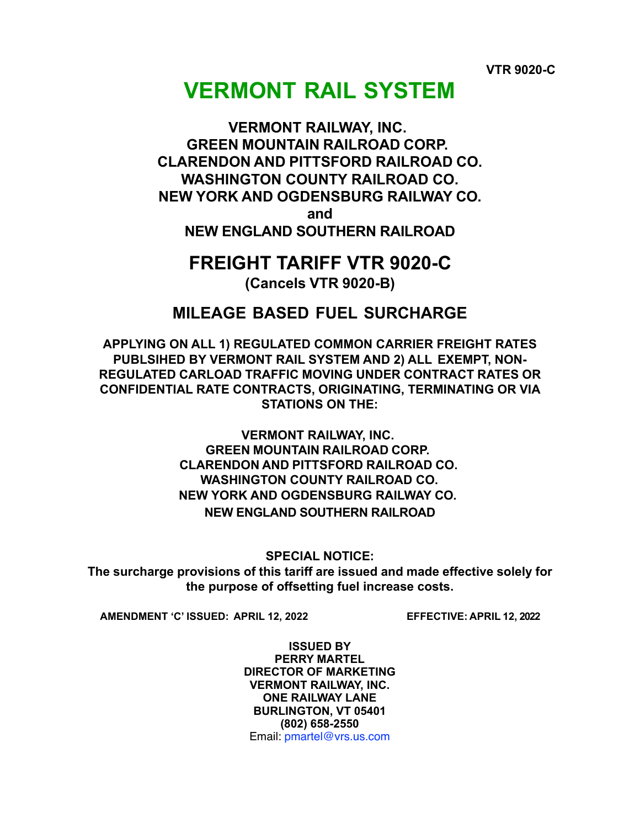# **VERMONT RAIL SYSTEM**

# **VERMONT RAILWAY, INC. GREEN MOUNTAIN RAILROAD CORP. CLARENDON AND PITTSFORD RAILROAD CO. WASHINGTON COUNTY RAILROAD CO. NEW YORK AND OGDENSBURG RAILWAY CO. and NEW ENGLAND SOUTHERN RAILROAD**

# **FREIGHT TARIFF VTR 9020-C**

**(Cancels VTR 9020-B)**

# **MILEAGE BASED FUEL SURCHARGE**

**APPLYING ON ALL 1) REGULATED COMMON CARRIER FREIGHT RATES PUBLSIHED BY VERMONT RAIL SYSTEM AND 2) ALL EXEMPT, NON-REGULATED CARLOAD TRAFFIC MOVING UNDER CONTRACT RATES OR CONFIDENTIAL RATE CONTRACTS, ORIGINATING, TERMINATING OR VIA STATIONS ON THE:**

> **VERMONT RAILWAY, INC. GREEN MOUNTAIN RAILROAD CORP. CLARENDON AND PITTSFORD RAILROAD CO. WASHINGTON COUNTY RAILROAD CO. NEW YORK AND OGDENSBURG RAILWAY CO. NEW ENGLAND SOUTHERN RAILROAD**

> > **SPECIAL NOTICE:**

**The surcharge provisions of this tariff are issued and made effective solely for the purpose of offsetting fuel increase costs.**

**AMENDMENT 'C' ISSUED: APRIL 12, 2022 EFFECTIVE: APRIL 12, 2022**

**ISSUED BY PERRY MARTEL DIRECTOR OF MARKETING VERMONT RAILWAY, INC. ONE RAILWAY LANE BURLINGTON, VT 05401 (802) 658-2550** Email: pmartel@vrs.us.com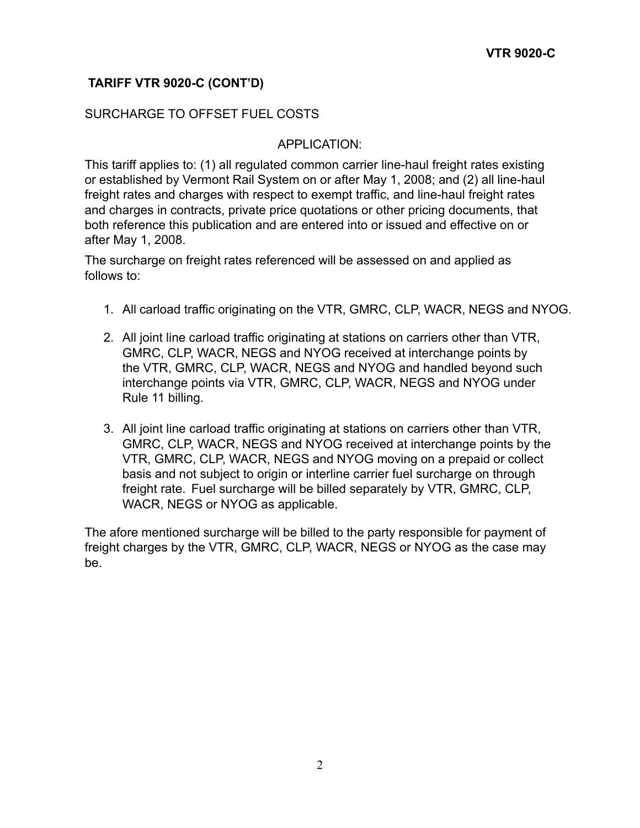## **TARIFF VTR 9020-C (CONT'D)**

## SURCHARGE TO OFFSET FUEL COSTS

#### APPLICATION:

This tariff applies to: (1) all regulated common carrier line-haul freight rates existing or established by Vermont Rail System on or after May 1, 2008; and (2) all line-haul freight rates and charges with respect to exempt traffic, and line-haul freight rates and charges in contracts, private price quotations or other pricing documents, that both reference this publication and are entered into or issued and effective on or after May 1, 2008.

The surcharge on freight rates referenced will be assessed on and applied as follows to:

- 1. All carload traffic originating on the VTR, GMRC, CLP, WACR, NEGS and NYOG.
- 2. All joint line carload traffic originating at stations on carriers other than VTR, GMRC, CLP, WACR, NEGS and NYOG received at interchange points by the VTR, GMRC, CLP, WACR, NEGS and NYOG and handled beyond such interchange points via VTR, GMRC, CLP, WACR, NEGS and NYOG under Rule 11 billing.
- 3. All joint line carload traffic originating at stations on carriers other than VTR, GMRC, CLP, WACR, NEGS and NYOG received at interchange points by the VTR, GMRC, CLP, WACR, NEGS and NYOG moving on a prepaid or collect basis and not subject to origin or interline carrier fuel surcharge on through freight rate. Fuel surcharge will be billed separately by VTR, GMRC, CLP, WACR, NEGS or NYOG as applicable.

The afore mentioned surcharge will be billed to the party responsible for payment of freight charges by the VTR, GMRC, CLP, WACR, NEGS or NYOG as the case may be.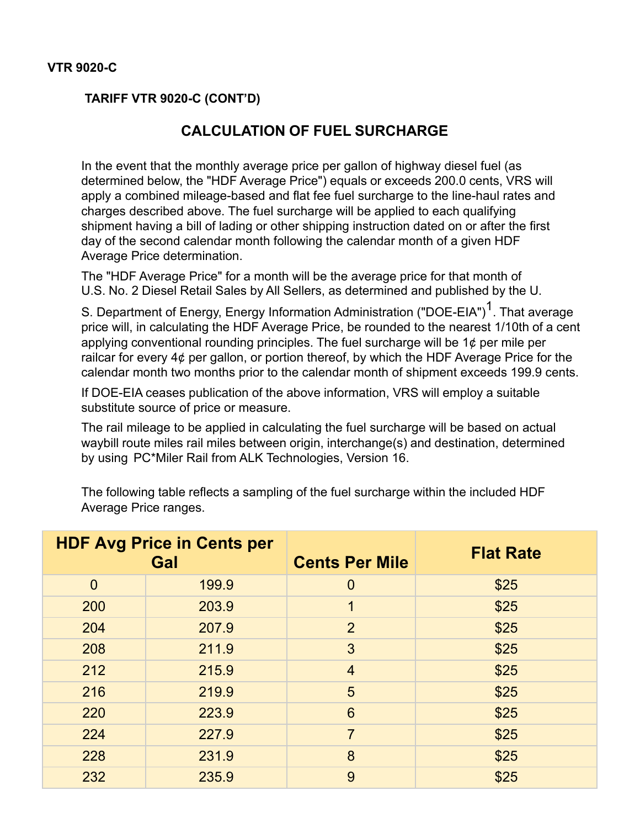## **VTR 9020-C**

## **TARIFF VTR 9020-C (CONT'D)**

# **CALCULATION OF FUEL SURCHARGE**

In the event that the monthly average price per gallon of highway diesel fuel (as determined below, the "HDF Average Price") equals or exceeds 200.0 cents, VRS will apply a combined mileage-based and flat fee fuel surcharge to the line-haul rates and charges described above. The fuel surcharge will be applied to each qualifying shipment having a bill of lading or other shipping instruction dated on or after the first day of the second calendar month following the calendar month of a given HDF Average Price determination.

The "HDF Average Price" for a month will be the average price for that month of U.S. No. 2 Diesel Retail Sales by All Sellers, as determined and published by the U.

S. Department of Energy, Energy Information Administration ("DOE-EIA")<sup>1</sup>. That average price will, in calculating the HDF Average Price, be rounded to the nearest 1/10th of a cent applying conventional rounding principles. The fuel surcharge will be  $1¢$  per mile per railcar for every 4¢ per gallon, or portion thereof, by which the HDF Average Price for the calendar month two months prior to the calendar month of shipment exceeds 199.9 cents.

If DOE-EIA ceases publication of the above information, VRS will employ a suitable substitute source of price or measure.

The rail mileage to be applied in calculating the fuel surcharge will be based on actual waybill route miles rail miles between origin, interchange(s) and destination, determined by using PC\*Miler Rail from ALK Technologies, Version 16.

| <b>HDF Avg Price in Cents per</b><br>Gal<br><b>Cents Per Mile</b> | <b>Flat Rate</b> |
|-------------------------------------------------------------------|------------------|
| $\overline{0}$<br>199.9<br>$\mathbf 0$                            | \$25             |
| 203.9<br>200                                                      | \$25             |
| $\overline{2}$<br>207.9<br>204                                    | \$25             |
| 211.9<br>3<br>208                                                 | \$25             |
| 212<br>215.9<br>$\overline{4}$                                    | \$25             |
| 5<br>216<br>219.9                                                 | \$25             |
| 6<br>220<br>223.9                                                 | \$25             |
| $\overline{7}$<br>227.9<br>224                                    | \$25             |
| 8<br>228<br>231.9                                                 | \$25             |
| 232<br>9<br>235.9                                                 | \$25             |

The following table reflects a sampling of the fuel surcharge within the included HDF Average Price ranges.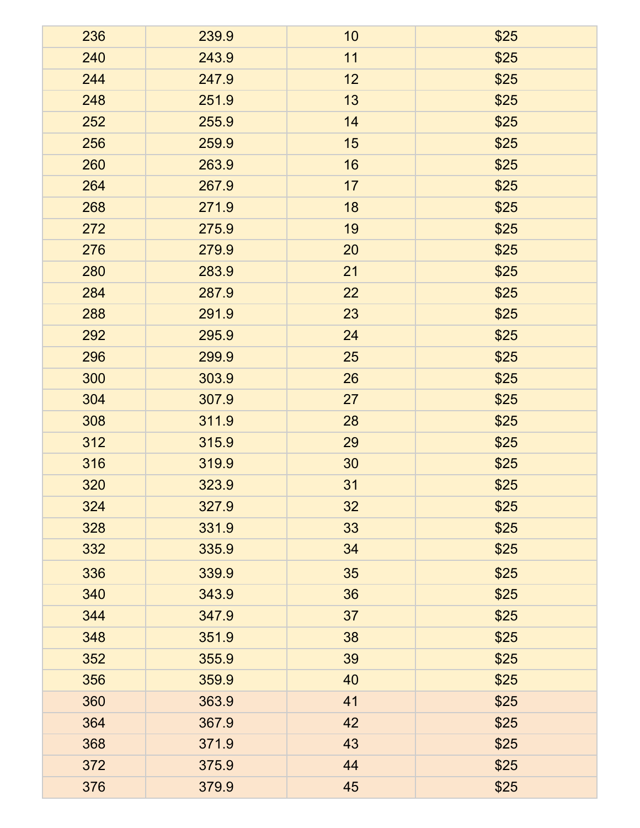| 236 | 239.9 | 10 | \$25 |
|-----|-------|----|------|
| 240 | 243.9 | 11 | \$25 |
| 244 | 247.9 | 12 | \$25 |
| 248 | 251.9 | 13 | \$25 |
| 252 | 255.9 | 14 | \$25 |
| 256 | 259.9 | 15 | \$25 |
| 260 | 263.9 | 16 | \$25 |
| 264 | 267.9 | 17 | \$25 |
| 268 | 271.9 | 18 | \$25 |
| 272 | 275.9 | 19 | \$25 |
| 276 | 279.9 | 20 | \$25 |
| 280 | 283.9 | 21 | \$25 |
| 284 | 287.9 | 22 | \$25 |
| 288 | 291.9 | 23 | \$25 |
| 292 | 295.9 | 24 | \$25 |
| 296 | 299.9 | 25 | \$25 |
| 300 | 303.9 | 26 | \$25 |
| 304 | 307.9 | 27 | \$25 |
| 308 | 311.9 | 28 | \$25 |
| 312 | 315.9 | 29 | \$25 |
| 316 | 319.9 | 30 | \$25 |
| 320 | 323.9 | 31 | \$25 |
| 324 | 327.9 | 32 | \$25 |
| 328 | 331.9 | 33 | \$25 |
| 332 | 335.9 | 34 | \$25 |
| 336 | 339.9 | 35 | \$25 |
| 340 | 343.9 | 36 | \$25 |
| 344 | 347.9 | 37 | \$25 |
| 348 | 351.9 | 38 | \$25 |
| 352 | 355.9 | 39 | \$25 |
| 356 | 359.9 | 40 | \$25 |
| 360 | 363.9 | 41 | \$25 |
| 364 | 367.9 | 42 | \$25 |
| 368 | 371.9 | 43 | \$25 |
| 372 | 375.9 | 44 | \$25 |
| 376 | 379.9 | 45 | \$25 |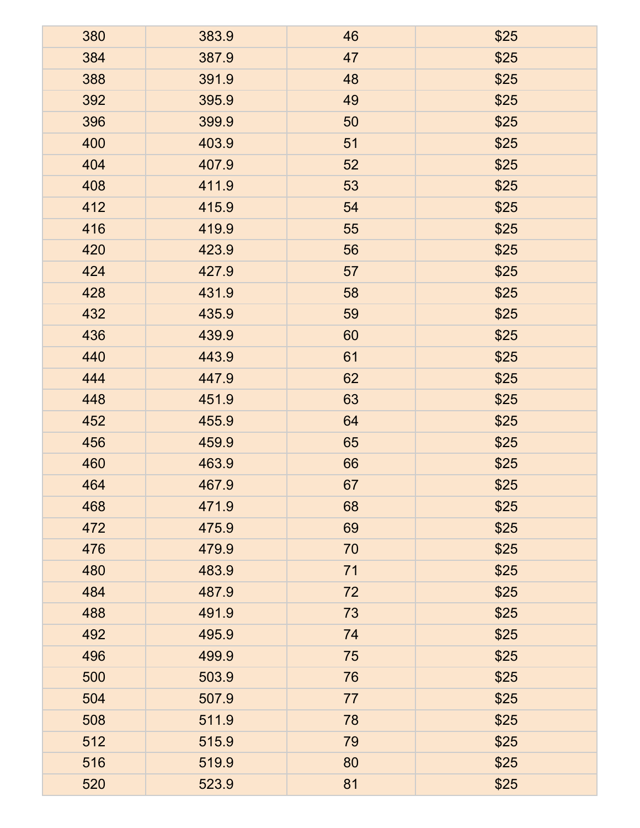| 380 | 383.9 | 46 | \$25 |
|-----|-------|----|------|
| 384 | 387.9 | 47 | \$25 |
| 388 | 391.9 | 48 | \$25 |
| 392 | 395.9 | 49 | \$25 |
| 396 | 399.9 | 50 | \$25 |
| 400 | 403.9 | 51 | \$25 |
| 404 | 407.9 | 52 | \$25 |
| 408 | 411.9 | 53 | \$25 |
| 412 | 415.9 | 54 | \$25 |
| 416 | 419.9 | 55 | \$25 |
| 420 | 423.9 | 56 | \$25 |
| 424 | 427.9 | 57 | \$25 |
| 428 | 431.9 | 58 | \$25 |
| 432 | 435.9 | 59 | \$25 |
| 436 | 439.9 | 60 | \$25 |
| 440 | 443.9 | 61 | \$25 |
| 444 | 447.9 | 62 | \$25 |
| 448 | 451.9 | 63 | \$25 |
| 452 | 455.9 | 64 | \$25 |
| 456 | 459.9 | 65 | \$25 |
| 460 | 463.9 | 66 | \$25 |
| 464 | 467.9 | 67 | \$25 |
| 468 | 471.9 | 68 | \$25 |
| 472 | 475.9 | 69 | \$25 |
| 476 | 479.9 | 70 | \$25 |
| 480 | 483.9 | 71 | \$25 |
| 484 | 487.9 | 72 | \$25 |
| 488 | 491.9 | 73 | \$25 |
| 492 | 495.9 | 74 | \$25 |
| 496 | 499.9 | 75 | \$25 |
| 500 | 503.9 | 76 | \$25 |
| 504 | 507.9 | 77 | \$25 |
| 508 | 511.9 | 78 | \$25 |
| 512 | 515.9 | 79 | \$25 |
| 516 | 519.9 | 80 | \$25 |
| 520 | 523.9 | 81 | \$25 |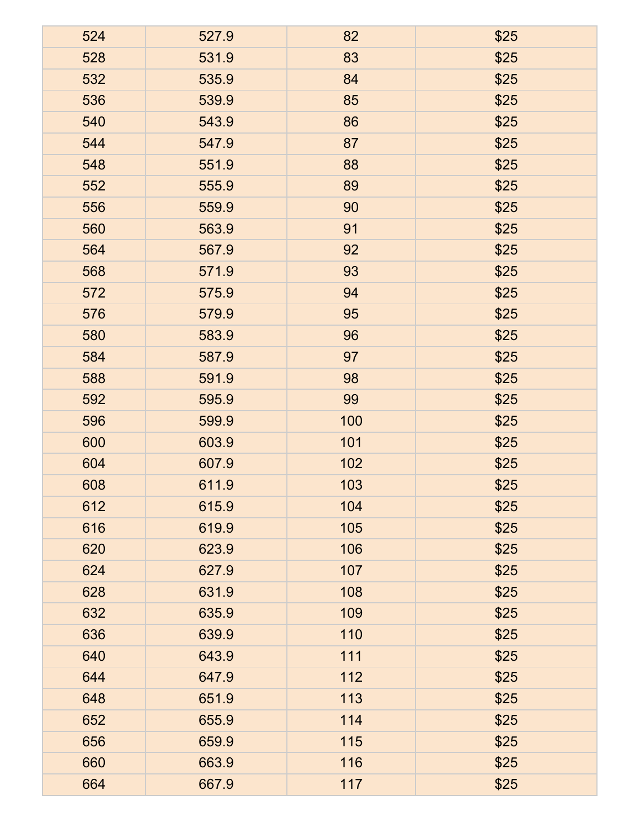| 524 | 527.9 | 82  | \$25 |
|-----|-------|-----|------|
| 528 | 531.9 | 83  | \$25 |
| 532 | 535.9 | 84  | \$25 |
| 536 | 539.9 | 85  | \$25 |
| 540 | 543.9 | 86  | \$25 |
| 544 | 547.9 | 87  | \$25 |
| 548 | 551.9 | 88  | \$25 |
| 552 | 555.9 | 89  | \$25 |
| 556 | 559.9 | 90  | \$25 |
| 560 | 563.9 | 91  | \$25 |
| 564 | 567.9 | 92  | \$25 |
| 568 | 571.9 | 93  | \$25 |
| 572 | 575.9 | 94  | \$25 |
| 576 | 579.9 | 95  | \$25 |
| 580 | 583.9 | 96  | \$25 |
| 584 | 587.9 | 97  | \$25 |
| 588 | 591.9 | 98  | \$25 |
| 592 | 595.9 | 99  | \$25 |
| 596 | 599.9 | 100 | \$25 |
| 600 | 603.9 | 101 | \$25 |
| 604 | 607.9 | 102 | \$25 |
| 608 | 611.9 | 103 | \$25 |
| 612 | 615.9 | 104 | \$25 |
| 616 | 619.9 | 105 | \$25 |
| 620 | 623.9 | 106 | \$25 |
| 624 | 627.9 | 107 | \$25 |
| 628 | 631.9 | 108 | \$25 |
| 632 | 635.9 | 109 | \$25 |
| 636 | 639.9 | 110 | \$25 |
| 640 | 643.9 | 111 | \$25 |
| 644 | 647.9 | 112 | \$25 |
| 648 | 651.9 | 113 | \$25 |
| 652 | 655.9 | 114 | \$25 |
| 656 | 659.9 | 115 | \$25 |
| 660 | 663.9 | 116 | \$25 |
| 664 | 667.9 | 117 | \$25 |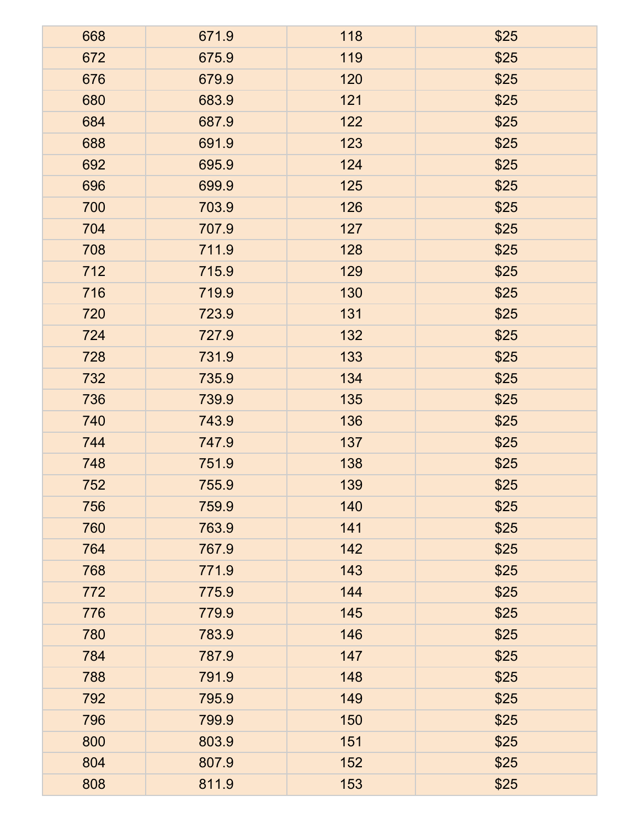| 668 | 671.9 | 118 | \$25 |
|-----|-------|-----|------|
| 672 | 675.9 | 119 | \$25 |
| 676 | 679.9 | 120 | \$25 |
| 680 | 683.9 | 121 | \$25 |
| 684 | 687.9 | 122 | \$25 |
| 688 | 691.9 | 123 | \$25 |
| 692 | 695.9 | 124 | \$25 |
| 696 | 699.9 | 125 | \$25 |
| 700 | 703.9 | 126 | \$25 |
| 704 | 707.9 | 127 | \$25 |
| 708 | 711.9 | 128 | \$25 |
| 712 | 715.9 | 129 | \$25 |
| 716 | 719.9 | 130 | \$25 |
| 720 | 723.9 | 131 | \$25 |
| 724 | 727.9 | 132 | \$25 |
| 728 | 731.9 | 133 | \$25 |
| 732 | 735.9 | 134 | \$25 |
| 736 | 739.9 | 135 | \$25 |
| 740 | 743.9 | 136 | \$25 |
| 744 | 747.9 | 137 | \$25 |
| 748 | 751.9 | 138 | \$25 |
| 752 | 755.9 | 139 | \$25 |
| 756 | 759.9 | 140 | \$25 |
| 760 | 763.9 | 141 | \$25 |
| 764 | 767.9 | 142 | \$25 |
| 768 | 771.9 | 143 | \$25 |
| 772 | 775.9 | 144 | \$25 |
| 776 | 779.9 | 145 | \$25 |
| 780 | 783.9 | 146 | \$25 |
| 784 | 787.9 | 147 | \$25 |
| 788 | 791.9 | 148 | \$25 |
| 792 | 795.9 | 149 | \$25 |
| 796 | 799.9 | 150 | \$25 |
| 800 | 803.9 | 151 | \$25 |
| 804 | 807.9 | 152 | \$25 |
| 808 | 811.9 | 153 | \$25 |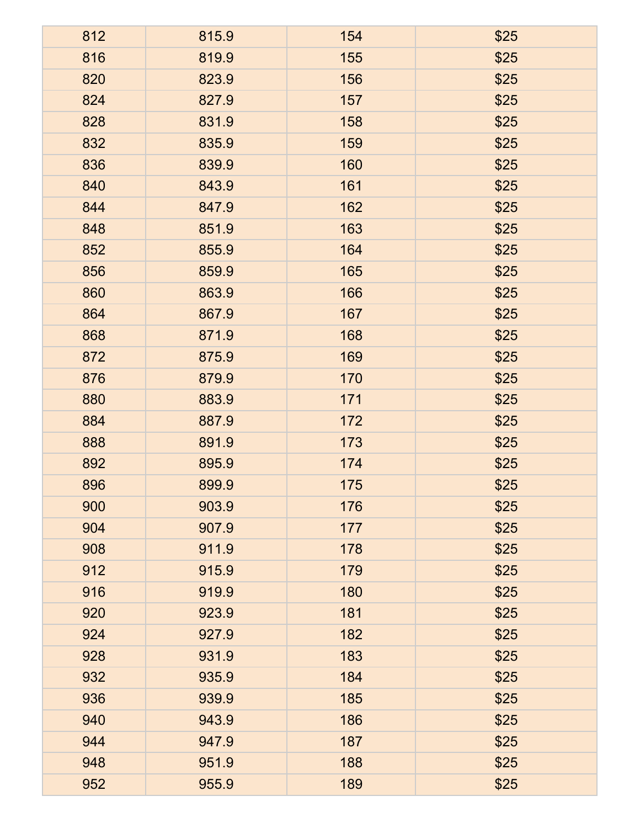| 812 | 815.9 | 154 | \$25 |
|-----|-------|-----|------|
| 816 | 819.9 | 155 | \$25 |
| 820 | 823.9 | 156 | \$25 |
| 824 | 827.9 | 157 | \$25 |
| 828 | 831.9 | 158 | \$25 |
| 832 | 835.9 | 159 | \$25 |
| 836 | 839.9 | 160 | \$25 |
| 840 | 843.9 | 161 | \$25 |
| 844 | 847.9 | 162 | \$25 |
| 848 | 851.9 | 163 | \$25 |
| 852 | 855.9 | 164 | \$25 |
| 856 | 859.9 | 165 | \$25 |
| 860 | 863.9 | 166 | \$25 |
| 864 | 867.9 | 167 | \$25 |
| 868 | 871.9 | 168 | \$25 |
| 872 | 875.9 | 169 | \$25 |
| 876 | 879.9 | 170 | \$25 |
| 880 | 883.9 | 171 | \$25 |
| 884 | 887.9 | 172 | \$25 |
| 888 | 891.9 | 173 | \$25 |
| 892 | 895.9 | 174 | \$25 |
| 896 | 899.9 | 175 | \$25 |
| 900 | 903.9 | 176 | \$25 |
| 904 | 907.9 | 177 | \$25 |
| 908 | 911.9 | 178 | \$25 |
| 912 | 915.9 | 179 | \$25 |
| 916 | 919.9 | 180 | \$25 |
| 920 | 923.9 | 181 | \$25 |
| 924 | 927.9 | 182 | \$25 |
| 928 | 931.9 | 183 | \$25 |
| 932 | 935.9 | 184 | \$25 |
| 936 | 939.9 | 185 | \$25 |
| 940 | 943.9 | 186 | \$25 |
| 944 | 947.9 | 187 | \$25 |
| 948 | 951.9 | 188 | \$25 |
| 952 | 955.9 | 189 | \$25 |